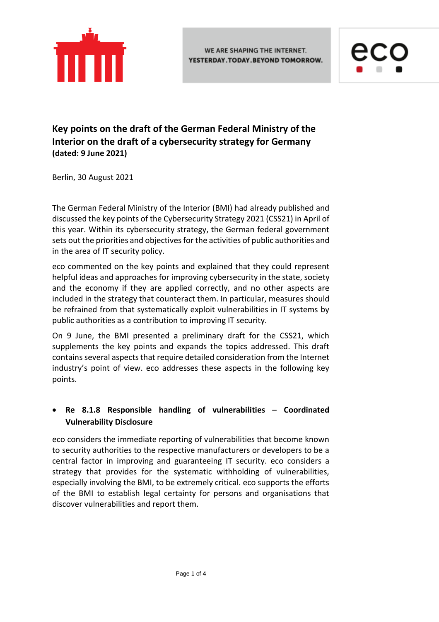

WE ARE SHAPING THE INTERNET. YESTERDAY.TODAY.BEYOND TOMORROW.



**Key points on the draft of the German Federal Ministry of the Interior on the draft of a cybersecurity strategy for Germany (dated: 9 June 2021)**

Berlin, 30 August 2021

The German Federal Ministry of the Interior (BMI) had already published and discussed the key points of the Cybersecurity Strategy 2021 (CSS21) in April of this year. Within its cybersecurity strategy, the German federal government sets out the priorities and objectives for the activities of public authorities and in the area of IT security policy.

eco commented on the key points and explained that they could represent helpful ideas and approaches for improving cybersecurity in the state, society and the economy if they are applied correctly, and no other aspects are included in the strategy that counteract them. In particular, measures should be refrained from that systematically exploit vulnerabilities in IT systems by public authorities as a contribution to improving IT security.

On 9 June, the BMI presented a preliminary draft for the CSS21, which supplements the key points and expands the topics addressed. This draft contains several aspects that require detailed consideration from the Internet industry's point of view. eco addresses these aspects in the following key points.

# • **Re 8.1.8 Responsible handling of vulnerabilities – Coordinated Vulnerability Disclosure**

eco considers the immediate reporting of vulnerabilities that become known to security authorities to the respective manufacturers or developers to be a central factor in improving and guaranteeing IT security. eco considers a strategy that provides for the systematic withholding of vulnerabilities, especially involving the BMI, to be extremely critical. eco supports the efforts of the BMI to establish legal certainty for persons and organisations that discover vulnerabilities and report them.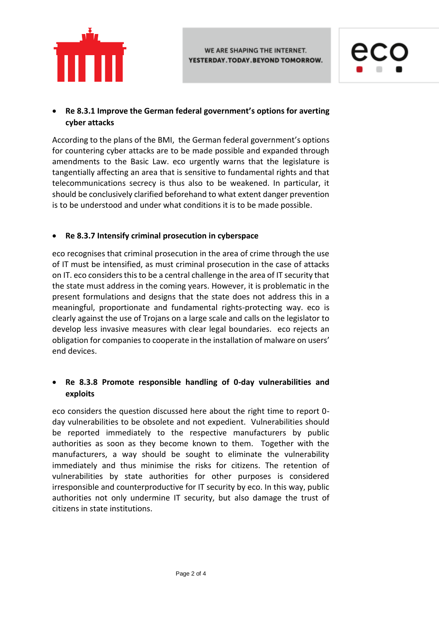



## • **Re 8.3.1 Improve the German federal government's options for averting cyber attacks**

According to the plans of the BMI, the German federal government's options for countering cyber attacks are to be made possible and expanded through amendments to the Basic Law. eco urgently warns that the legislature is tangentially affecting an area that is sensitive to fundamental rights and that telecommunications secrecy is thus also to be weakened. In particular, it should be conclusively clarified beforehand to what extent danger prevention is to be understood and under what conditions it is to be made possible.

#### • **Re 8.3.7 Intensify criminal prosecution in cyberspace**

eco recognises that criminal prosecution in the area of crime through the use of IT must be intensified, as must criminal prosecution in the case of attacks on IT. eco considers this to be a central challenge in the area of IT security that the state must address in the coming years. However, it is problematic in the present formulations and designs that the state does not address this in a meaningful, proportionate and fundamental rights-protecting way. eco is clearly against the use of Trojans on a large scale and calls on the legislator to develop less invasive measures with clear legal boundaries. eco rejects an obligation for companies to cooperate in the installation of malware on users' end devices.

### • **Re 8.3.8 Promote responsible handling of 0-day vulnerabilities and exploits**

eco considers the question discussed here about the right time to report 0 day vulnerabilities to be obsolete and not expedient. Vulnerabilities should be reported immediately to the respective manufacturers by public authorities as soon as they become known to them. Together with the manufacturers, a way should be sought to eliminate the vulnerability immediately and thus minimise the risks for citizens. The retention of vulnerabilities by state authorities for other purposes is considered irresponsible and counterproductive for IT security by eco. In this way, public authorities not only undermine IT security, but also damage the trust of citizens in state institutions.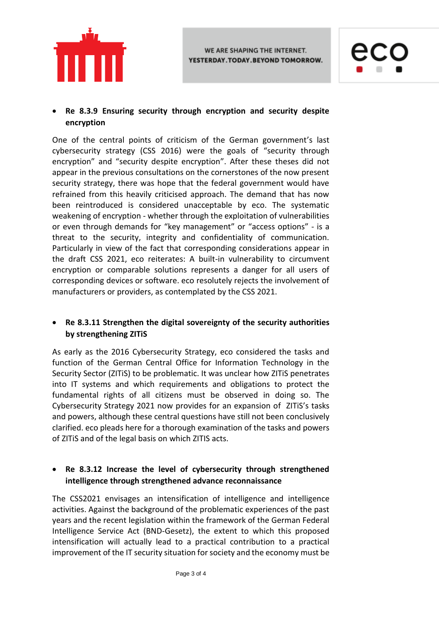



## • **Re 8.3.9 Ensuring security through encryption and security despite encryption**

One of the central points of criticism of the German government's last cybersecurity strategy (CSS 2016) were the goals of "security through encryption" and "security despite encryption". After these theses did not appear in the previous consultations on the cornerstones of the now present security strategy, there was hope that the federal government would have refrained from this heavily criticised approach. The demand that has now been reintroduced is considered unacceptable by eco. The systematic weakening of encryption - whether through the exploitation of vulnerabilities or even through demands for "key management" or "access options" - is a threat to the security, integrity and confidentiality of communication. Particularly in view of the fact that corresponding considerations appear in the draft CSS 2021, eco reiterates: A built-in vulnerability to circumvent encryption or comparable solutions represents a danger for all users of corresponding devices or software. eco resolutely rejects the involvement of manufacturers or providers, as contemplated by the CSS 2021.

#### • **Re 8.3.11 Strengthen the digital sovereignty of the security authorities by strengthening ZITiS**

As early as the 2016 Cybersecurity Strategy, eco considered the tasks and function of the German Central Office for Information Technology in the Security Sector (ZITiS) to be problematic. It was unclear how ZITiS penetrates into IT systems and which requirements and obligations to protect the fundamental rights of all citizens must be observed in doing so. The Cybersecurity Strategy 2021 now provides for an expansion of ZITiS's tasks and powers, although these central questions have still not been conclusively clarified. eco pleads here for a thorough examination of the tasks and powers of ZITiS and of the legal basis on which ZITIS acts.

### • **Re 8.3.12 Increase the level of cybersecurity through strengthened intelligence through strengthened advance reconnaissance**

The CSS2021 envisages an intensification of intelligence and intelligence activities. Against the background of the problematic experiences of the past years and the recent legislation within the framework of the German Federal Intelligence Service Act (BND-Gesetz), the extent to which this proposed intensification will actually lead to a practical contribution to a practical improvement of the IT security situation for society and the economy must be